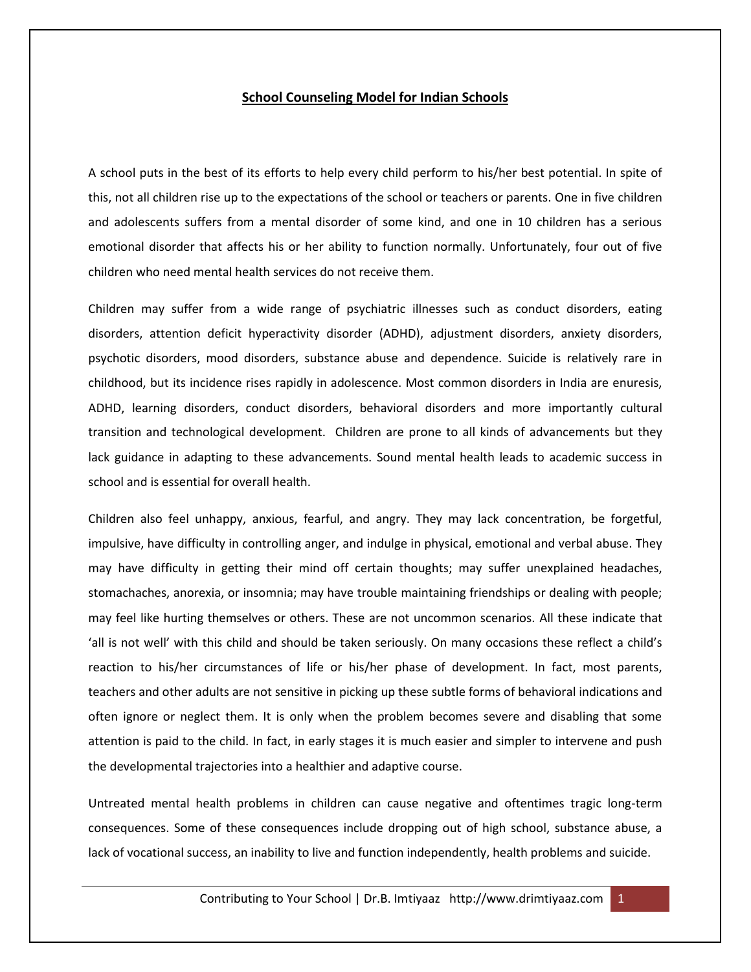## **School Counseling Model for Indian Schools**

A school puts in the best of its efforts to help every child perform to his/her best potential. In spite of this, not all children rise up to the expectations of the school or teachers or parents. One in five children and adolescents suffers from a mental disorder of some kind, and one in 10 children has a serious emotional disorder that affects his or her ability to function normally. Unfortunately, four out of five children who need mental health services do not receive them.

Children may suffer from a wide range of psychiatric illnesses such as conduct disorders, eating disorders, attention deficit hyperactivity disorder (ADHD), adjustment disorders, anxiety disorders, psychotic disorders, mood disorders, substance abuse and dependence. Suicide is relatively rare in childhood, but its incidence rises rapidly in adolescence. Most common disorders in India are enuresis, ADHD, learning disorders, conduct disorders, behavioral disorders and more importantly cultural transition and technological development. Children are prone to all kinds of advancements but they lack guidance in adapting to these advancements. Sound mental health leads to academic success in school and is essential for overall health.

Children also feel unhappy, anxious, fearful, and angry. They may lack concentration, be forgetful, impulsive, have difficulty in controlling anger, and indulge in physical, emotional and verbal abuse. They may have difficulty in getting their mind off certain thoughts; may suffer unexplained headaches, stomachaches, anorexia, or insomnia; may have trouble maintaining friendships or dealing with people; may feel like hurting themselves or others. These are not uncommon scenarios. All these indicate that 'all is not well' with this child and should be taken seriously. On many occasions these reflect a child's reaction to his/her circumstances of life or his/her phase of development. In fact, most parents, teachers and other adults are not sensitive in picking up these subtle forms of behavioral indications and often ignore or neglect them. It is only when the problem becomes severe and disabling that some attention is paid to the child. In fact, in early stages it is much easier and simpler to intervene and push the developmental trajectories into a healthier and adaptive course.

Untreated mental health problems in children can cause negative and oftentimes tragic long-term consequences. Some of these consequences include dropping out of high school, substance abuse, a lack of vocational success, an inability to live and function independently, health problems and suicide.

Contributing to Your School | Dr.B. Imtiyaaz http://www.drimtiyaaz.com 1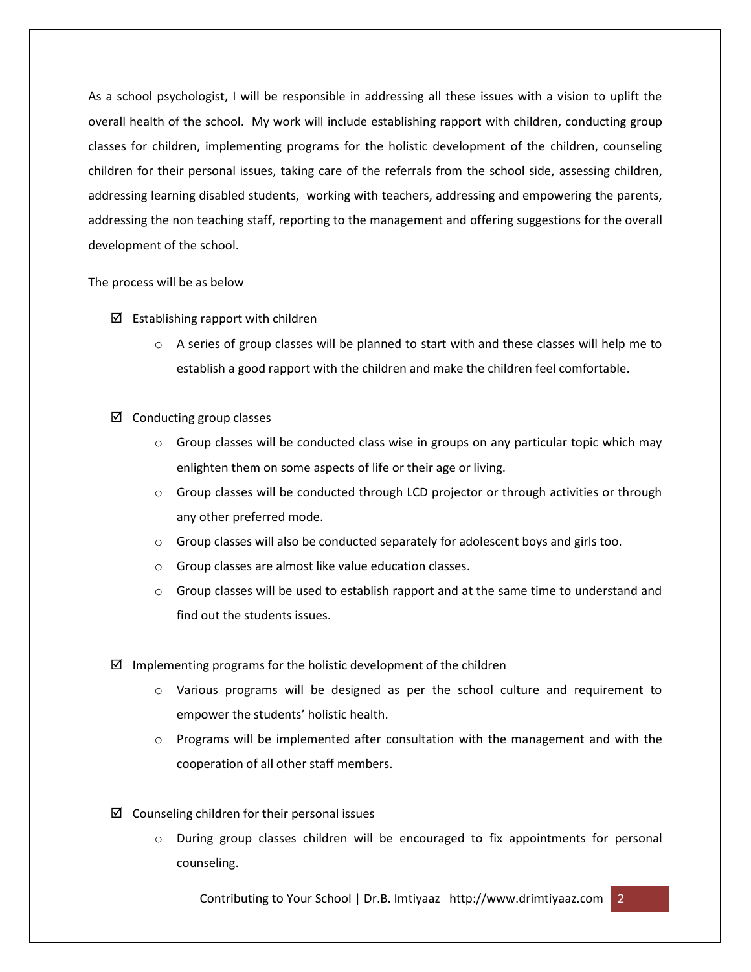As a school psychologist, I will be responsible in addressing all these issues with a vision to uplift the overall health of the school. My work will include establishing rapport with children, conducting group classes for children, implementing programs for the holistic development of the children, counseling children for their personal issues, taking care of the referrals from the school side, assessing children, addressing learning disabled students, working with teachers, addressing and empowering the parents, addressing the non teaching staff, reporting to the management and offering suggestions for the overall development of the school.

## The process will be as below

- $\boxtimes$  Establishing rapport with children
	- $\circ$  A series of group classes will be planned to start with and these classes will help me to establish a good rapport with the children and make the children feel comfortable.
- $\boxtimes$  Conducting group classes
	- $\circ$  Group classes will be conducted class wise in groups on any particular topic which may enlighten them on some aspects of life or their age or living.
	- $\circ$  Group classes will be conducted through LCD projector or through activities or through any other preferred mode.
	- $\circ$  Group classes will also be conducted separately for adolescent boys and girls too.
	- o Group classes are almost like value education classes.
	- $\circ$  Group classes will be used to establish rapport and at the same time to understand and find out the students issues.
- $\boxtimes$  Implementing programs for the holistic development of the children
	- o Various programs will be designed as per the school culture and requirement to empower the students' holistic health.
	- $\circ$  Programs will be implemented after consultation with the management and with the cooperation of all other staff members.
- $\boxtimes$  Counseling children for their personal issues
	- o During group classes children will be encouraged to fix appointments for personal counseling.

Contributing to Your School | Dr.B. Imtiyaaz http://www.drimtiyaaz.com 2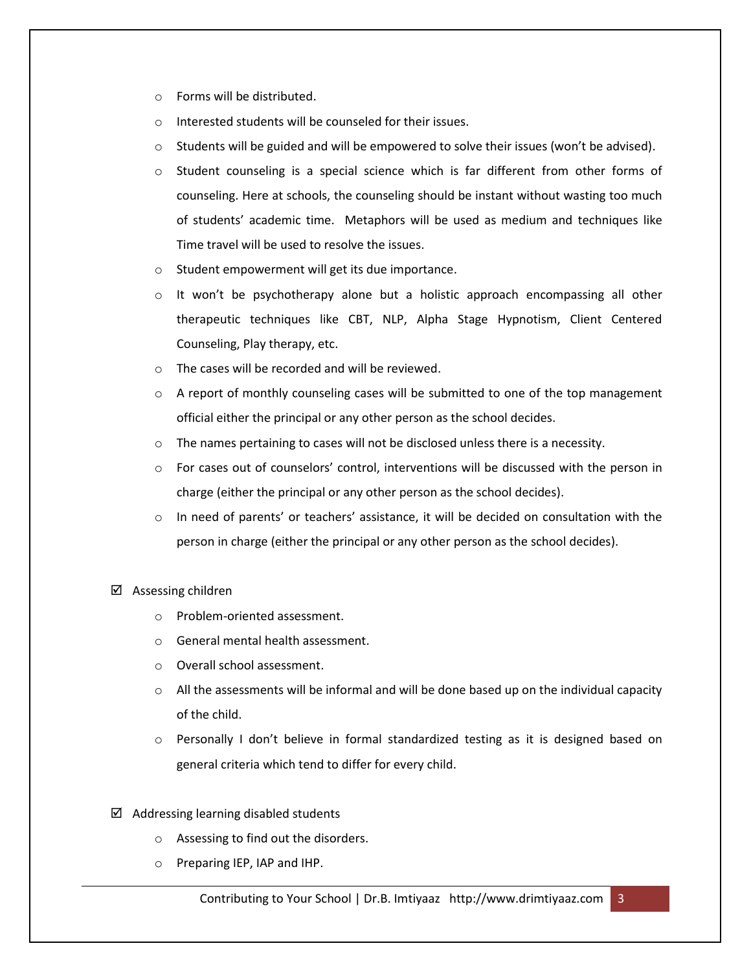- o Forms will be distributed.
- o Interested students will be counseled for their issues.
- $\circ$  Students will be guided and will be empowered to solve their issues (won't be advised).
- $\circ$  Student counseling is a special science which is far different from other forms of counseling. Here at schools, the counseling should be instant without wasting too much of students' academic time. Metaphors will be used as medium and techniques like Time travel will be used to resolve the issues.
- o Student empowerment will get its due importance.
- o It won't be psychotherapy alone but a holistic approach encompassing all other therapeutic techniques like CBT, NLP, Alpha Stage Hypnotism, Client Centered Counseling, Play therapy, etc.
- o The cases will be recorded and will be reviewed.
- $\circ$  A report of monthly counseling cases will be submitted to one of the top management official either the principal or any other person as the school decides.
- $\circ$  The names pertaining to cases will not be disclosed unless there is a necessity.
- o For cases out of counselors' control, interventions will be discussed with the person in charge (either the principal or any other person as the school decides).
- $\circ$  In need of parents' or teachers' assistance, it will be decided on consultation with the person in charge (either the principal or any other person as the school decides).
- $\boxtimes$  Assessing children
	- o Problem-oriented assessment.
	- o General mental health assessment.
	- o Overall school assessment.
	- $\circ$  All the assessments will be informal and will be done based up on the individual capacity of the child.
	- o Personally I don't believe in formal standardized testing as it is designed based on general criteria which tend to differ for every child.
- $\boxtimes$  Addressing learning disabled students
	- o Assessing to find out the disorders.
	- o Preparing IEP, IAP and IHP.

Contributing to Your School | Dr.B. Imtiyaaz http://www.drimtiyaaz.com 3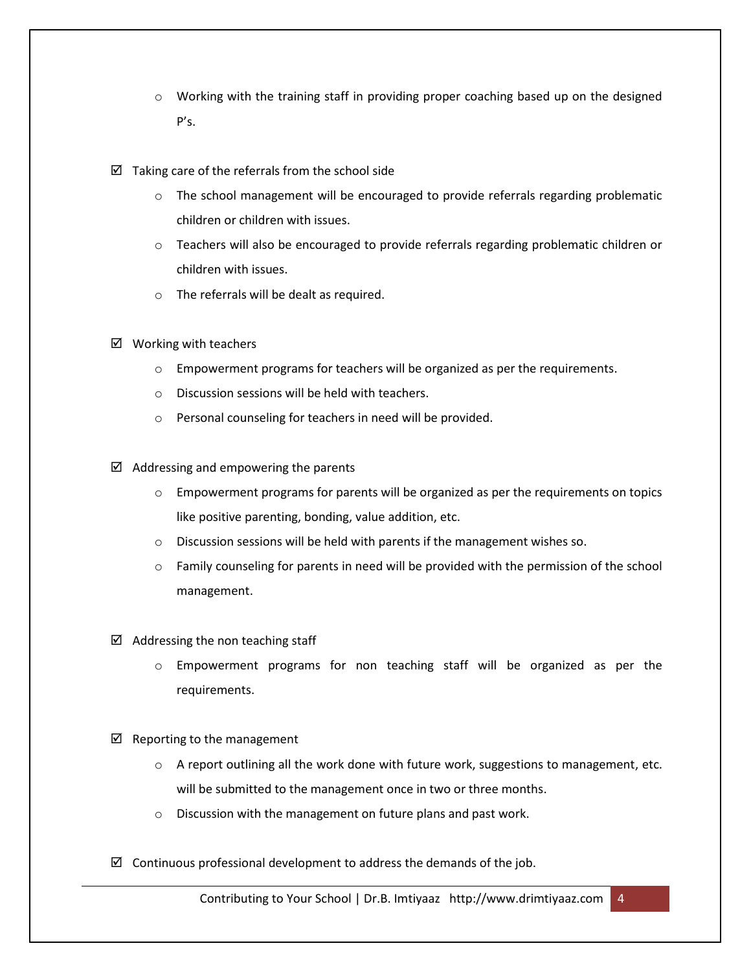- $\circ$  Working with the training staff in providing proper coaching based up on the designed P's.
- $\boxtimes$  Taking care of the referrals from the school side
	- $\circ$  The school management will be encouraged to provide referrals regarding problematic children or children with issues.
	- $\circ$  Teachers will also be encouraged to provide referrals regarding problematic children or children with issues.
	- o The referrals will be dealt as required.
- $\boxtimes$  Working with teachers
	- o Empowerment programs for teachers will be organized as per the requirements.
	- o Discussion sessions will be held with teachers.
	- o Personal counseling for teachers in need will be provided.
- $\boxtimes$  Addressing and empowering the parents
	- $\circ$  Empowerment programs for parents will be organized as per the requirements on topics like positive parenting, bonding, value addition, etc.
	- o Discussion sessions will be held with parents if the management wishes so.
	- o Family counseling for parents in need will be provided with the permission of the school management.
- $\boxtimes$  Addressing the non teaching staff
	- o Empowerment programs for non teaching staff will be organized as per the requirements.
- $\boxtimes$  Reporting to the management
	- $\circ$  A report outlining all the work done with future work, suggestions to management, etc. will be submitted to the management once in two or three months.
	- o Discussion with the management on future plans and past work.
- $\boxtimes$  Continuous professional development to address the demands of the job.